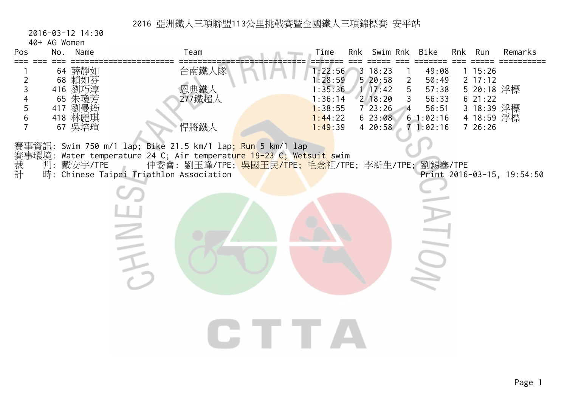2016-03-12 14:30

| Pos         | 40+ AG Women<br>No. Name                                              | Team                                                                                                                                                                                                                                                             | Remarks<br>Time<br>Rnk Swim Rnk Bike<br>Rnk Run                                                                                                                                                                                                                                                                                           |
|-------------|-----------------------------------------------------------------------|------------------------------------------------------------------------------------------------------------------------------------------------------------------------------------------------------------------------------------------------------------------|-------------------------------------------------------------------------------------------------------------------------------------------------------------------------------------------------------------------------------------------------------------------------------------------------------------------------------------------|
| 2<br>3<br>6 | 64 薛靜如<br>68 賴如芬<br>416 劉巧淳<br>65 朱瓊芳<br>417 劉曼筠<br>418 林麗琪<br>67 吳培瑄 | 台南鐵人隊<br>恩典鐵人<br>277鐵超人<br>悍將鐵人                                                                                                                                                                                                                                  | 1:22:56<br>$1 \t15:26$<br>$3 \t18:23$<br>49:08<br>1:28:59<br>520:58<br>50:49<br>$2 \t17:12$<br>2<br>117:42<br>1:35:36<br>5 20:18 浮標<br>57:38<br>5<br>1:36:14<br>218:20<br>56:33<br>621:22<br>3<br>3 18:39 浮標<br>1:38:55<br>723:26<br>56:51<br>4<br>4 18:59 浮標<br>623:08<br>61:02:16<br>1:44:22<br>1:49:39<br>1:02:16<br>4 20:58<br>726:26 |
|             |                                                                       | 賽事資訊: Swim 750 m/1 lap; Bike 21.5 km/1 lap <mark>; Run</mark> 5 km/1 lap<br>賽事環境: Water temperature 24 C; Air temperature 19-23 C; Wetsuit swim<br>裁  判: 戴安宇/TPE    仲委會: 劉玉峰/TPE; 吳 <mark>國王民/TPE; 毛念祖</mark> /TPE<br>計  時: Chinese Taipei Triathlon Association | 仲委會: 劉玉峰/TPE; 吳國王民/TPE; 毛念祖/TPE; 李新生/TPE; 劉錫鑫/TPE<br>Print 2016-03-15, 19:54:50                                                                                                                                                                                                                                                           |
|             |                                                                       |                                                                                                                                                                                                                                                                  |                                                                                                                                                                                                                                                                                                                                           |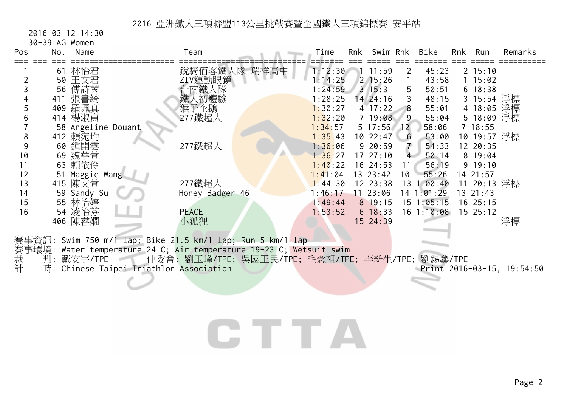2016-03-12 14:30

30-39 AG Women

| Pos | No. | Name               | Team            |                                                                    | Time    | Rnk | Swim Rnk             |    | Bike           | Rnk | Run          | Remarks |
|-----|-----|--------------------|-----------------|--------------------------------------------------------------------|---------|-----|----------------------|----|----------------|-----|--------------|---------|
|     |     | 61 林怡君             | 銳騎佰客鐵人隊_瑞祥高中    |                                                                    | 1:12:30 |     | 11:59                | 2  | 45:23          |     | $2 \t15:10$  |         |
|     |     | 50 王文君             | ZIV運動眼鏡         |                                                                    | 1:14:25 |     | $2 \; 15:26$         |    | 43:58          |     | 1 15:02      |         |
|     |     | 56 傅詩茵             | 台南鐵人隊           |                                                                    | 1:24:59 |     | $3 \; 15:31$         | 5  | 50:51          |     | 6 18:38      |         |
|     |     | 411 張書綺            | 鐵人初體驗           |                                                                    | 1:28:25 |     | 14 24:16             |    | 48:15          |     | 3 15:54 浮標   |         |
|     |     | 409 羅珮真            | 猴子企鵝            |                                                                    | 1:30:27 |     | $4 \overline{17:22}$ |    | 55:01          |     | 4 18:05 浮標   |         |
|     |     | 414 楊淑貞            | 277鐵超人          |                                                                    | 1:32:20 |     | 7 19:08              | 9  | 55:04          |     | 5 18:09 浮標   |         |
|     |     | 58 Angeline Douant |                 |                                                                    | 1:34:57 |     | $5 \t17:56$          | 12 | 58:06          |     | 7 18:55      |         |
|     |     | 412 賴宛均            |                 |                                                                    | 1:35:43 |     | 1022:47              | 6  | 53:00          |     | 10 19:57 浮標  |         |
|     |     | 60 鍾開雲             | 277鐵超人          |                                                                    | 1:36:06 |     | 920:59               |    | 54:33          |     | 12 20:35     |         |
| 10  |     | 69 魏華萱             |                 |                                                                    | 1:36:27 |     | 1727:10              |    | 50:14          |     | 8 19:04      |         |
| 11  |     | 63 賴依伶             |                 |                                                                    | 1:40:22 |     | $16 \t24:53$         | 11 | 56:19          |     | $9 \t19:10$  |         |
| 12  |     | 51 Maggie Wang     |                 |                                                                    | 1:41:04 |     | $13 \t23:42$         | 10 | 55:26          |     | 14 21:57     |         |
| 13  |     | 415 陳文萱            | 277鐵超人          |                                                                    | 1:44:30 |     | $12 \t23:38$         | 13 | 1:00:40        |     | 11 20:13 浮標  |         |
| 14  |     | 59 Sandy Su        | Honey Badger 46 |                                                                    | 1:46:17 |     | $11 \t23:06$         |    | $14$ 1:01:29   |     | $13 \t21:43$ |         |
| 15  |     | 55 林怡婷             |                 |                                                                    | 1:49:44 |     | 8 19:15              |    | $15$ $1:05:15$ |     | 1625:15      |         |
| 16  |     | 54 凌怡芬             | <b>PEACE</b>    |                                                                    | 1:53:52 |     | $6 \t18:33$          |    | $16 \t1:10:08$ |     | 1525:12      |         |
|     |     | 406 陳睿嫺            | 小狐狸             |                                                                    |         |     | 15 24:39             |    |                |     |              | 浮標      |
|     |     |                    |                 | 賽事資訊: Swim 750 m/1 lap; Bike 21.5 km/1 lap; Run 5 km/1 lap         |         |     |                      |    |                |     |              |         |
|     |     |                    |                 | 事環境: Water temperature 24 C; Air temperature 19-23 C; Wetsuit swim |         |     | ★ ☆广 仩 ノㅜnㄷ          |    | 【加口全 /エロニ      |     |              |         |

裁 判: 戴安宇/TPE 仲委會: 劉玉峰/TPE; 吳國王民/TPE; 毛念祖/TPE; 李新生/TPE; 劉錫鑫/TPE

計 時: Chinese Taipei Triathlon Association Print 2016-03-15, 19:54:50

# CTTA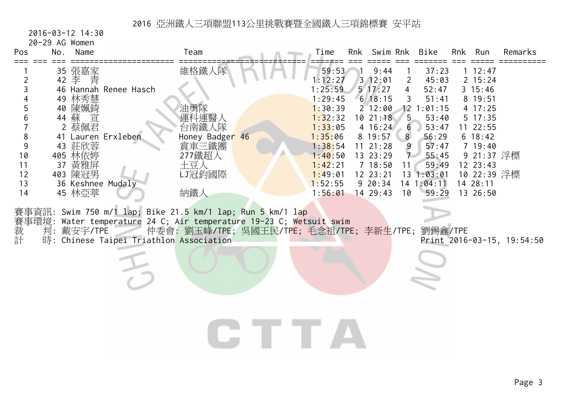2016-03-12 14:30

20-29 AG Women

| Pos                                            | No.          | Name                                                                                              |                                                                                                                                                                                                                                                                                                | Team                                                                                         |                                           | Time                                                                                                                                                 | Rnk Swim Rnk                                                                                                                                                |                                                                  | Bike                                                                                                                                                | Rnk Run                                                                                                                                                                  | Remarks                    |
|------------------------------------------------|--------------|---------------------------------------------------------------------------------------------------|------------------------------------------------------------------------------------------------------------------------------------------------------------------------------------------------------------------------------------------------------------------------------------------------|----------------------------------------------------------------------------------------------|-------------------------------------------|------------------------------------------------------------------------------------------------------------------------------------------------------|-------------------------------------------------------------------------------------------------------------------------------------------------------------|------------------------------------------------------------------|-----------------------------------------------------------------------------------------------------------------------------------------------------|--------------------------------------------------------------------------------------------------------------------------------------------------------------------------|----------------------------|
| 2<br>3<br>8<br>9<br>10<br>11<br>12<br>13<br>14 | 42 李<br>44 蘇 | 35 張嘉家<br>青<br>49 林秀慧<br>40 陳姵錡<br>宣<br>2 蔡佩君<br>43 莊欣蓉<br>405 林依婷<br>37 黃雅屏<br>403 陳冠男<br>45 林亞葶 | 46 Hannah Renee Hasch<br>41 Lauren Erxleben<br>36 Keshnee Mudaly<br>賽事資訊: Swim 750 m/1 lap; Bike 21.5 km/1 lap; Run 5 km/1 lap<br>賽事環境: Уили 790 m/1 дар, рике 21.5 Km/1 lap; Run 5 km/1 lap<br>裁  判: 戴安宇/TPE    仲委會: 劉玉峰/TPE; 吳國王民/TPE; 毛念祖/TPE<br>計  時: Chinese Taipei Triathlon Association | 維格鐵人隊<br>油勇隊<br>運科運醫人<br>台南鐵人隊<br>Honey Badger 46<br>賞車三鐵團<br>277鐵超人<br>土豆人<br>LJ冠鈞國際<br>納鐵人 | 仲委會: 劉玉峰/TPE; 吳國王民/TPE; 毛念祖/TPE; 李新生/TPE; | 59:53<br>1:12:27<br>1:25:59<br>1:29:45<br>1:30:39<br>1:32:32<br>1:33:05<br>1:35:06<br>1:38:54<br>1:40:50<br>1:42:21<br>1:49:01<br>1:52:55<br>1:56:01 | 9:44<br>3 12:01<br>5/17:27<br>$6$ 18:15<br>2 12:00<br>1021:18<br>$4 \t16:24$<br>8 19:57<br>11 21:28<br>13 23:29<br>7 18:50<br>12 23:21<br>920:34<br>1429:33 | $\overline{2}$<br>3<br>5<br>6<br>8 <sup>°</sup><br>9<br>11<br>10 | 37:23<br>45:03<br>52:47<br>51:41<br>12 1:01:15<br>53:40<br>53:47<br>56:29<br>57:47<br>55:45<br>59:49<br>131:03:01<br>14 1:04:11<br>59:29<br>劉錫鑫/TPE | 1 12:47<br>2 15:24<br>$3\;15:46$<br>8 19:51<br>4 17:25<br>5 17:35<br>11 22:55<br>6 18:42<br>7 19:40<br>9 21:37 浮標<br>$12 \t23:43$<br>10 22:39 浮標<br>14 28:11<br>13 26:50 |                            |
|                                                |              |                                                                                                   |                                                                                                                                                                                                                                                                                                |                                                                                              |                                           |                                                                                                                                                      |                                                                                                                                                             |                                                                  |                                                                                                                                                     |                                                                                                                                                                          | Print 2016-03-15, 19:54:50 |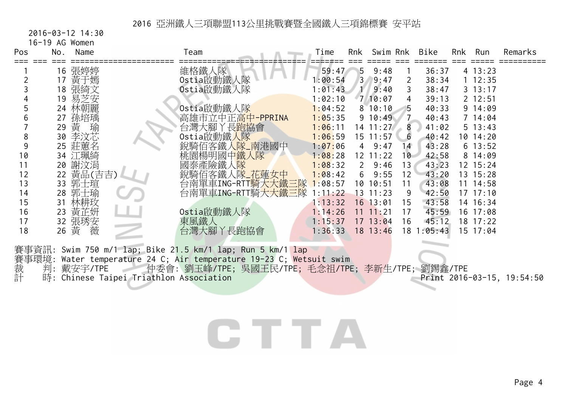2016-03-12 14:30

16-19 AG Women

| Pos | No. | Name       | Team                                                                                                                                                                                                 | Time    | Rnk |                        | Swim Rnk        | Bike    | Rnk | Run          | Remarks |
|-----|-----|------------|------------------------------------------------------------------------------------------------------------------------------------------------------------------------------------------------------|---------|-----|------------------------|-----------------|---------|-----|--------------|---------|
|     |     | 16 張婷婷     | 維格鐵人隊                                                                                                                                                                                                | 59:47   |     | 9:48<br>$-5$           |                 | 36:37   |     | 4 13:23      |         |
|     | 17  | 黃于嫣        | Ostia啟動鐵人隊                                                                                                                                                                                           | 1:00:54 |     | $\sqrt{3}$<br>9:47     | $\overline{2}$  | 38:34   |     | 1 12:35      |         |
|     |     | 18 張綺文     | Ostia啟動鐵人隊                                                                                                                                                                                           | 1:01:43 |     | 9:40                   | 3               | 38:47   |     | 3 13:17      |         |
|     |     | 19 易芝安     |                                                                                                                                                                                                      | 1:02:10 |     | 710:07                 | 4               | 39:13   |     | $2\;12:51$   |         |
|     |     | 24 林朝麗     | Ostia啟動鐵人隊                                                                                                                                                                                           | 1:04:52 |     | 8'10:10                | -5              | 40:33   |     | 9 14:09      |         |
|     |     | 27 孫培瑀     | 高雄市立中正高中-PPRINA                                                                                                                                                                                      | 1:05:35 |     | $9 \t10:49$            |                 | 40:43   |     | $7 \t14:04$  |         |
|     | 29  | 黃<br>瑜     | 台灣大腳丫長跑協會                                                                                                                                                                                            | 1:06:11 |     | $14$ 11:27             | 8               | 41:02   |     | $5 \t13:43$  |         |
|     |     | 30 李汶芯     | Ostia啟動鐵人隊                                                                                                                                                                                           | 1:06:59 |     | $15$ $11:57$           | 6               | 40:42   |     | $10$ $14:20$ |         |
|     |     | 25 莊蕙名     | 銳騎佰客鐵人 <mark>隊_南港國中</mark>                                                                                                                                                                           | 1:07:06 |     | 9:47<br>$\overline{4}$ | 14              | 43:28   |     | 6 13:52      |         |
| 10  |     | 34 江珮綺     | 桃園楊明國中鐵人隊                                                                                                                                                                                            | 1:08:28 |     | $12$ $11:22$           | 10              | 42:58   |     | 8 14:09      |         |
| 11  |     | 20 謝汶涓     | 國泰產險鐵人 <mark>隊</mark>                                                                                                                                                                                | 1:08:32 |     | $2 \t 9:46$            | 13              | 43:23   |     | $12$ $15:24$ |         |
| 12  |     | 22 黄品(吉吉)  | 鋭騎佰客鐵人隊_花蓮女中                                                                                                                                                                                         | 1:08:42 |     | 9:55<br>6              | 12 <sup>2</sup> | 43:20   |     | 13 15:28     |         |
| 13  |     | 33 郭士瑄     | 台南單車ING-RTT騎大大鐵三隊 1:08:57                                                                                                                                                                            |         |     | 1010:51                | 11              | 43:08   |     | $11$ 14:58   |         |
| 14  |     | 28 郭士瑜     | 台南單車ING-RTT騎大大鐵三隊                                                                                                                                                                                    | 1:11:22 |     | $13 \t11:23$           | 9               | 42:50   |     | $17 \t17:10$ |         |
| 15  | 31  | 林耕玫        |                                                                                                                                                                                                      | 1:13:32 |     | $16$ 13:01             | 15              | 43:58   |     | 14 16:34     |         |
| 16  |     | 23 黃芷妍     | Ostia啟動鐵人隊                                                                                                                                                                                           | 1:14:26 |     | $11 \t11:21$           | 17              | 45:59   |     | 16 17:08     |         |
| 17  |     | 32 張琇安     | 東風鐵人                                                                                                                                                                                                 | 1:15:37 |     | $17 \t13:04$           | 16              | 45:12   |     | $18$ 17:22   |         |
| 18  |     | 26 黄<br>薇  | 台灣大腳丫長跑協會                                                                                                                                                                                            | 1:36:33 |     | 18 13:46               | 18              | 1:05:43 |     | $15$ $17:04$ |         |
| 裁   |     | 判: 戴安宇/TPE | 賽事資訊: Swim 750 m/1 lap; Bike 2 <mark>1.5 km/1 lap; Run 5 km/1 lap</mark><br>賽事環境: Water temperature 24 C; Air temperature 19-23 C; Wetsuit swim<br>仲委會: 劉玉峰/TPE; 吳國王民/TPE; 毛念祖/TPE; 李新生/TPE; 劉錫鑫/TPE |         |     |                        |                 |         |     |              |         |

 $\frac{3}{2}$  +  $\frac{3}{2}$  +  $\frac{3}{2}$  +  $\frac{3}{2}$  +  $\frac{3}{2}$  +  $\frac{3}{2}$  +  $\frac{3}{2}$  +  $\frac{3}{2}$  +  $\frac{3}{2}$  +  $\frac{3}{2}$  +  $\frac{3}{2}$  +  $\frac{1}{2}$  +  $\frac{5}{2}$  +  $\frac{1}{2}$  +  $\frac{5}{2}$  +  $\frac{1}{2}$  +  $\frac{5}{2}$  +  $\frac{1}{2}$  +  $\frac{$ 

# CTTA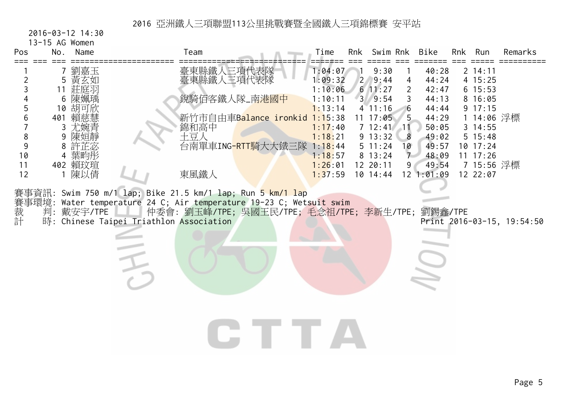2016-03-12 14:30

13-15 AG Women

| Pos                                     | Name<br>No.                                                                                                                | Team                                                                                                                                                                                                                                                                                                                               | Time                                                                                                       | Rnk Swim Rnk                                                                                                                                               |                                            | Bike                                                                                                          | Rnk | Run                                                                                                                                                   | Remarks                    |
|-----------------------------------------|----------------------------------------------------------------------------------------------------------------------------|------------------------------------------------------------------------------------------------------------------------------------------------------------------------------------------------------------------------------------------------------------------------------------------------------------------------------------|------------------------------------------------------------------------------------------------------------|------------------------------------------------------------------------------------------------------------------------------------------------------------|--------------------------------------------|---------------------------------------------------------------------------------------------------------------|-----|-------------------------------------------------------------------------------------------------------------------------------------------------------|----------------------------|
| 2<br>3<br>6<br>8<br>9<br>10<br>11<br>12 | 7 劉嘉玉<br>5 黃玄如<br>莊庭羽<br>11<br>6 陳姵瑀<br>10 胡可欣<br>401<br>賴慈慧<br>尤婉青<br>3<br>9 陳姮靜<br>8 許芷宓<br>4 葉畇彤<br>402 賴玟瑄<br>陳以倩<br>1 | 臺東縣鐵人三項代表隊<br>臺東縣鐵人三項代表隊<br>銳騎佰客鐵人隊_南港 <mark>國中</mark><br>新竹市自由車Balance ironkid 1:15:38<br>錦和高中<br>土豆人<br>台南單車ING-RTT騎大大鐵三隊 1:18:44<br>東風鐵人                                                                                                                                                                                        | 1:04:07<br>1:09:32<br>1:10:06<br>1:10:11<br>1:13:14<br>1:17:40<br>1:18:21<br>1:18:57<br>1:26:01<br>1:37:59 | 9:30<br>$\overline{2}$<br>9:44<br>611:27<br>3 / 9:54<br>411:16<br>$11 \t17:05$<br>$7 \t12:41$<br>9 13:32<br>5 11:24<br>8 13:24<br>12 20:11<br>$10$ $14:44$ | 4<br>2<br>3<br>6<br>5<br>8<br>10<br>7<br>9 | 40:28<br>44:24<br>42:47<br>44:13<br>44:44<br>44:29<br>50:05<br>49:02<br>49:57<br>48:09<br>49:54<br>12 1:01:09 |     | $2 \t14:11$<br>4 15:25<br>615:53<br>8 16:05<br>9 17:15<br>1 14:06 浮標<br>$3\;14:55$<br>5 15:48<br>$10$ 17:24<br>$11 \t17:26$<br>7 15:56 浮標<br>12 22:07 |                            |
|                                         |                                                                                                                            | 賽事資訊: Swim 750 m/1 lap; Bike 21.5 km/1 lap; Run 5 km/1 lap<br>賽事環境: Уилширу шил дар; рике 21.5 Km/1 lap; Run 5 km <mark>/1 lap</mark><br>裁   判: 戴安宇/TPE     仲委會: 劉玉峰/TPE; 吳國王民/TPE; 毛念祖/TPE<br>計   時: Chinese Taipei Triathlon Association<br>仲委會: 劉玉峰/TPE; 吳國王民/TPE; 毛念祖/TPE; 李新生/TPE;<br>時: Chinese Taipei Triathlon Association |                                                                                                            |                                                                                                                                                            |                                            | 劉錫鑫/TPE                                                                                                       |     |                                                                                                                                                       | Print 2016-03-15, 19:54:50 |
|                                         |                                                                                                                            |                                                                                                                                                                                                                                                                                                                                    |                                                                                                            |                                                                                                                                                            |                                            |                                                                                                               |     |                                                                                                                                                       |                            |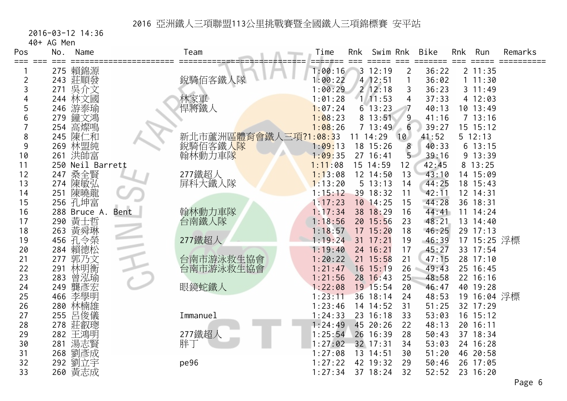2016-03-12 14:36

40+ AG Men

| Pos | No. | Name               |      | Team                  | Time    | Rnk | Swim Rnk     |    | <b>Bike</b> | Rnk | Run          | Remarks |
|-----|-----|--------------------|------|-----------------------|---------|-----|--------------|----|-------------|-----|--------------|---------|
| ≡≕≕ |     | 275 賴錦源            |      |                       | 1:00:16 |     | $3 \t12:19$  | 2  | 36:22       |     | 2 11:35      |         |
| 2   |     | 243 莊順發            |      | 銳騎佰客鐵人隊               | 1:00:22 |     | 4 12:51      | 1  | 36:02       |     | 1 11:30      |         |
| 3   | 271 | 吳介文                |      |                       | 1:00:29 |     | $2 \; 12:18$ | 3  | 36:23       |     | $3 \t11:49$  |         |
|     | 244 | 林文國                |      | 林家軍<br>悍將鐵人           | 1:01:28 |     | 111:53       | 4  | 37:33       |     | 4 12:03      |         |
|     |     | 246 游泰瑜            |      |                       | 1:07:24 |     | 613:23       |    | 40:13       |     | $10$ $13:49$ |         |
| 6   | 279 | 鐘文鴻                |      |                       | 1:08:23 |     | 8 13:51      | 9  | 41:16       |     | 7 13:16      |         |
|     | 254 | 高燦鳴                |      |                       | 1:08:26 |     | 7 13:49      | 6  | 39:27       |     | 15 15:12     |         |
| 8   | 245 | 陳仁和                |      | 新北市蘆洲區體育會鐵人三項?1:08:33 |         |     | 11 14:29     | 10 | 41:52       |     | 5 12:13      |         |
| 9   | 269 | 林盟純                |      | 銳騎佰客鐵人 <mark>隊</mark> | 1:09:13 |     | 18 15:26     | 8  | 40:33       |     | 6 13:15      |         |
| 10  | 261 | 洪帥富                |      | 翰林動力車隊                | 1:09:35 |     | 27 16:41     | 5  | 39:16       |     | 9 13:39      |         |
| 11  |     | 250 Neil Barrett   |      |                       | 1:11:08 |     | 15 14:59     | 12 | 42:45       |     | 8 13:25      |         |
| 12  | 247 | 桑全賢                |      | 277鐵超人                | 1:13:08 |     | 12 14:50     | 13 | 43:10       |     | 14 15:09     |         |
| 13  |     | 274 陳敏弘            |      | 屏科大鐵人隊                | 1:13:20 |     | 5 13:13      | 14 | 44:25       |     | 18 15:43     |         |
| 14  |     | 251 陳曉龍<br>256 孔坤富 |      |                       | 1:15:12 |     | 39 18:32     | 11 | 42:11       |     | 12 14:31     |         |
| 15  |     |                    |      |                       | 1:17:23 |     | 10 14:25     | 15 | 44:28       |     | 36 18:31     |         |
| 16  |     | 288 Bruce A.       | Bent | 翰林動力車隊                | 1:17:34 |     | 38 18:29     | 16 | 44:41       |     | 11 14:24     |         |
| 17  | 290 | 黃士哲                |      | 台南鐵人隊                 | 1:18:56 |     | 20 15:56     | 23 | 48:21       |     | 13 14:40     |         |
| 18  |     | 263 黃舜琳            |      |                       | 1:18:57 |     | 17 15:20     | 18 | 46:25       |     | 29 17:13     |         |
| 19  |     | 456 孔令榮            |      | 277鐵超人                | 1:19:24 |     | 31 17:21     | 19 | 46:39       |     | 17 15:25 浮標  |         |
| 20  |     | 284 賴德松            |      |                       | 1:19:40 |     | 24 16:21     | 17 | 45:27       |     | 33 17:54     |         |
| 21  | 277 | 郭乃文                |      | 台南市游泳救生協會             | 1:20:22 |     | 21 15:58     | 21 | 47:15       |     | 28 17:10     |         |
| 22  | 291 | 林明衡                |      | 台南市游泳救生協會             | 1:21:47 |     | 16 15:19     | 26 | 49:43       |     | 25 16:45     |         |
| 23  | 283 | 曾泓瑜                |      |                       | 1:21:56 |     | 28 16:43     | 25 | 48:58       |     | 22 16:16     |         |
| 24  | 249 | 龔彥宏                |      | 眼鏡蛇鐵人                 | 1:22:08 |     | 19 15:54     | 20 | 46:47       |     | 40 19:28     |         |
| 25  | 466 | 李學明                |      |                       | 1:23:11 |     | 36 18:14     | 24 | 48:53       |     | 19 16:04 浮標  |         |
| 26  | 280 | 林楠雄                |      |                       | 1:23:46 |     | 14 14:52     | 31 | 51:25       |     | 32 17:29     |         |
| 27  | 255 | 呂俊儀                |      | Immanuel              | 1:24:33 |     | 23 16:18     | 33 | 53:03       |     | $16$ $15:12$ |         |
| 28  | 278 | 莊叡璁                |      |                       | 1:24:49 |     | 45 20:26     | 22 | 48:13       |     | 20 16:11     |         |
| 29  |     | 282 王鴻明<br>281 湯志賢 |      | 277鐵超人                | 1:25:54 |     | 26 16:39     | 28 | 50:43       |     | 37 18:34     |         |
| 30  |     |                    |      | 胖丁                    | 1:27:02 |     | 32 17:31     | 34 | 53:03       |     | 24 16:28     |         |
| 31  | 268 | 劉彥成                |      |                       | 1:27:08 |     | 13 14:51     | 30 | 51:20       |     | 46 20:58     |         |
| 32  |     | 292 劉立宇            |      | pe96                  | 1:27:22 |     | 42 19:32     | 29 | 50:46       |     | 26 17:05     |         |
| 33  |     | 260 黃志成            |      |                       | 1:27:34 |     | 37 18:24     | 32 | 52:52       |     | 23 16:20     |         |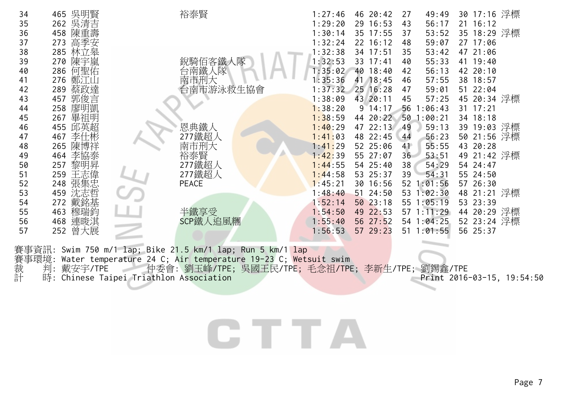| 34<br>35 | 465 吳明賢<br>262 吳清吉    | 裕泰賢                                                                                                                                        | 30 17:16 浮標<br>1:27:46<br>46 20:42<br>49:49<br>27<br>1:29:20<br>29 16:53<br>56:17<br>21 16:12<br>43 |  |
|----------|-----------------------|--------------------------------------------------------------------------------------------------------------------------------------------|-----------------------------------------------------------------------------------------------------|--|
| 36<br>37 | 458 陳重壽<br>273 高季安    |                                                                                                                                            | 35 18:29 浮標<br>53:52<br>1:30:14<br>35 17:55<br>37<br>1:32:24<br>22 16:12<br>59:07<br>27 17:06<br>48 |  |
| 38       | 285 林立皋               |                                                                                                                                            | 53:42<br>1:32:38<br>34 17:51<br>35<br>47 21:06                                                      |  |
| 39       | 270 陳宇嵐               |                                                                                                                                            | 1:32:53<br>33 17:41<br>55:33<br>41 19:40<br>40                                                      |  |
| 40       | 何聖佑<br>286            | 銳騎佰客鐵人隊<br>台南鐵人隊                                                                                                                           | 1:35:02<br>56:13<br>40 18:40<br>42<br>42 20:10                                                      |  |
| 41       | 276 鄭江山               | 南市刑大                                                                                                                                       | 1:35:36<br>41 18:45<br>57:55<br>46<br>38 18:57                                                      |  |
| 42       | 289 蔡政達               | 台南市游泳救生協會                                                                                                                                  | 59:01<br>51 22:04<br>1:37:32<br>25 16:28<br>47                                                      |  |
| 43       | 郭俊言<br>457            |                                                                                                                                            | 57:25<br>45 20:34 浮標<br>1:38:09<br>43 20:11<br>45                                                   |  |
| 44       | 258 廖明凱               |                                                                                                                                            | 1:38:20<br>$9 \t14:17$<br>561:06:43<br>$31$ $17:21$                                                 |  |
| 45       | 畢祖明<br>267            |                                                                                                                                            | 1:38:59<br>44 20:22<br>501:00:21<br>34 18:18                                                        |  |
| 46       | 455 邱英超               | 恩典鐵人                                                                                                                                       | 47 22:13<br>59:13<br>39 19:03 浮標<br>1:40:29<br>49                                                   |  |
| 47       | 467 李仕彬               | 277鐵超人                                                                                                                                     | 48 22:45<br>50 21:56 浮標<br>56:23<br>1:41:03<br>44                                                   |  |
| 48       | 265 陳博祥               | 南市刑大                                                                                                                                       | 52 25:06<br>55:55<br>43 20:28<br>1:41:29<br>41                                                      |  |
| 49       | 464<br>李協泰            | 裕泰賢                                                                                                                                        | 55 27:07<br>53:51<br>49 21:42 浮標<br>1:42:39<br>36                                                   |  |
| 50       | 257 黎明昇               | 277鐵超人                                                                                                                                     | 1:44:55<br>54 25:40<br>38<br>54:29<br>54 24:47                                                      |  |
| 51       | 259 王志偉               | 277鐵超人                                                                                                                                     | 53 25:37<br>1:44:58<br>54:31<br>55 24:50<br>39                                                      |  |
| 52       | 248 張集忠               | PEACE                                                                                                                                      | 52 1:01:56<br>1:45:21<br>30 16:56<br>57 26:30                                                       |  |
| 53       | 459 沈志哲               |                                                                                                                                            | 48 21:21 浮標<br>1:48:40<br>$51 \t24:50$<br>53 1:02:30                                                |  |
| 54       | 272 戴銘基               |                                                                                                                                            | 53 23:39<br>1:52:14<br>5023:18<br>55 1:05:19                                                        |  |
| 55<br>56 | 463 穆瑞鈞               | 半鐵享受                                                                                                                                       | 49 22:53<br>44 20:29 浮標<br>1:54:50<br>$57 \; 1:11:29$<br>52 23:24 浮標<br>56 27:52<br>54 1:04:25      |  |
| 57       | 468 連晙淇<br>252 曾大展    | SCP鐵人追風糰                                                                                                                                   | 1:55:40<br>1:56:53<br>57 29:23<br>56 25:37<br>$51 \t1:01:55$                                        |  |
|          |                       |                                                                                                                                            |                                                                                                     |  |
|          | 賽事環境:<br>判<br>戴安宇/TPE | 賽事資訊: Swim 750 m/1 lap; Bike 2 <mark>1.5 km/1 l</mark> ap; Run 5 km/1 lap<br>Water temperature 24 C; Air temperature 19-23 C; Wetsuit swim | 仲委會: 劉玉峰/TPE; 吳國王民/TPE; 毛念祖/TPE; 李新生/TPE; 劉錫鑫/TPE                                                   |  |
| 裁計       | 時:                    | Chinese Taipei Triathlon Association                                                                                                       | Print 2016-03-15, 19:54:50                                                                          |  |

# CTTA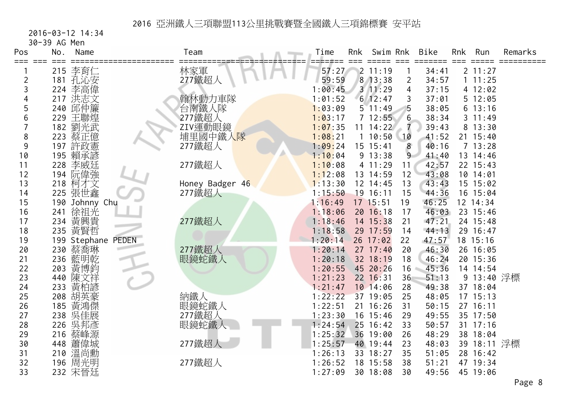2016-03-12 14:34

30-39 AG Men

| Pos | No. | Name                          | Team                  | Time    | Rnk | Swim Rnk     |    | Bike  | Rnk | Run          | Remarks |
|-----|-----|-------------------------------|-----------------------|---------|-----|--------------|----|-------|-----|--------------|---------|
|     |     | 215 李育仁                       | 林家軍                   | 57:27   |     | $2$ 11:19    |    | 34:41 |     | 2 11:27      |         |
| 2   |     | 181 孔沁安                       | 277鐵超人                | 59:59   |     | 8 13:38      | 2  | 34:57 |     | 1 11:25      |         |
| 3   |     | 224 李高偉                       |                       | 1:00:45 |     | $3 \t11:29$  | 4  | 37:15 |     | 4 12:02      |         |
|     |     | 217 洪志文                       | 翰林動力車隊                | 1:01:52 |     | $6 \t12:47$  | 3  | 37:01 |     | 5 12:05      |         |
| 5   |     | 240 邱仲簾                       | 台南鐵人隊                 | 1:03:09 |     | 511:49       | 5  | 38:05 |     | 6 13:16      |         |
| 6   |     | 229 王聯煌                       | 277鐵超人                | 1:03:17 |     | 712:55       | 6  | 38:34 |     | 311:49       |         |
|     |     | 182 劉光武                       | ZIV運動眼鏡               | 1:07:35 |     | $11 \t14:22$ |    | 39:43 |     | 8 13:30      |         |
| 8   |     | 223 蔡正億                       | 埔里國中鐵人 <mark>隊</mark> | 1:08:21 |     | 1 10:50      | 10 | 41:52 |     | 21 15:40     |         |
| 9   |     | 197 許政憲                       | 277鐵超人                | 1:09:24 |     | 15 15:41     | 8  | 40:16 |     | 7 13:28      |         |
| 10  |     | 195 賴承諺                       |                       | 1:10:04 |     | 9 13:38      | 9  | 41:40 |     | 13 14:46     |         |
| 11  |     | 228 李威廷                       | 277鐵超人                | 1:10:08 |     | 4 11:29      | 11 | 42:57 |     | 22 15:43     |         |
| 12  |     | 194 阮偉強                       |                       | 1:12:08 |     | 13 14:59     | 12 | 43:08 |     | 10 14:01     |         |
| 13  |     | 218 柯才文                       | Honey Badger 46       | 1:13:30 |     | 12 14:45     | 13 | 43:43 |     | 15 15:02     |         |
| 14  |     | 225 張世鑫                       | 277鐵超人                | 1:15:50 |     | 19 16:11     | 15 | 44:36 |     | 16 15:04     |         |
| 15  |     | 190 Johnny Chu                |                       | 1:16:49 |     | 17 15:51     | 19 | 46:25 |     | 12 14:34     |         |
| 16  | 241 | 徐祖光                           |                       | 1:18:06 |     | 20 16:18     | 17 | 46:03 |     | 23 15:46     |         |
| 17  |     | 234 黃興貴                       | 277鐵超人                | 1:18:46 |     | 14 15:38     | 21 | 47:21 |     | 24 15:48     |         |
| 18  |     | 235 黃賢哲                       |                       | 1:18:58 |     | 29 17:59     | 14 | 44:13 |     | 29 16:47     |         |
| 19  |     | 199 Stephane PEDEN            |                       | 1:20:14 |     | 26 17:02     | 22 | 47:57 |     | 18 15:16     |         |
| 20  |     |                               | 277鐵超人                | 1:20:14 |     | 27 17:40     | 20 | 46:30 |     | 26 16:05     |         |
| 21  |     |                               | 眼鏡蛇鐵人                 | 1:20:18 |     | 32 18:19     | 18 | 46:24 |     | 20 15:36     |         |
| 22  |     | 230 蔡喬琳<br>236 藍明乾<br>203 黃博鈞 |                       | 1:20:55 |     | 45 20:26     | 16 | 45:36 |     | 14 14:54     |         |
| 23  | 440 | 陳文祥                           |                       | 1:21:23 |     | 22 16:31     | 36 | 51:13 |     | 9 13:40 浮標   |         |
| 24  | 233 | 黃柏諺                           |                       | 1:21:47 |     | 10 14:06     | 28 | 49:38 |     | 37 18:04     |         |
| 25  |     | 208 胡英豪                       | 納鐵人                   | 1:22:22 |     | 37 19:05     | 25 | 48:05 |     | $17 \t15:13$ |         |
| 26  |     | 185 黃鴻傑                       | 眼鏡蛇鐵人                 | 1:22:51 |     | 21 16:26     | 31 | 50:15 |     | 27 16:11     |         |
| 27  |     | 238 吳佳展                       | 277鐵超人                | 1:23:30 |     | 16 15:46     | 29 | 49:55 |     | 35 17:50     |         |
| 28  |     | 226 吳邦彥                       | 眼鏡蛇鐵人                 | 1:24:54 |     | 25 16:42     | 33 | 50:57 |     | $31$ $17:16$ |         |
| 29  |     |                               |                       | 1:25:32 |     | 36 19:00     | 26 | 48:29 |     | 38 18:04     |         |
| 30  |     | 216 蔡峰源<br>448 蕭偉城            | 277鐵超人                | 1:25:57 |     | 40 19:44     | 23 | 48:03 |     | 39 18:11 浮標  |         |
| 31  |     | 210 溫尚勳                       |                       | 1:26:13 |     | 33 18:27     | 35 | 51:05 |     | 28 16:42     |         |
| 32  |     | 196 周光明                       | 277鐵超人                | 1:26:52 |     | 18 15:58     | 38 | 51:21 |     | 47 19:34     |         |
| 33  |     | 232 宋晉廷                       |                       | 1:27:09 |     | 30 18:08     | 30 | 49:56 |     | 45 19:06     |         |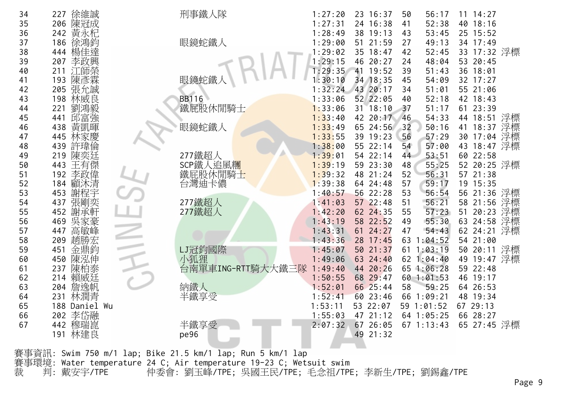| 34 | 徐維誠<br>227        | 刑事鐵人隊        |                                                            | 1:27:20 | 23 16:37           | 50<br>56:17     | $11 \t14:27$ |    |
|----|-------------------|--------------|------------------------------------------------------------|---------|--------------------|-----------------|--------------|----|
| 35 | 206 陳冠成           |              |                                                            | 1:27:31 | 24 16:38           | 52:38<br>41     | 40 18:16     |    |
| 36 | 242 黄永杞           |              |                                                            | 1:28:49 | 38 19:13           | 53:45<br>43     | 25 15:52     |    |
| 37 | 徐鴻鈞<br>186        | 眼鏡蛇鐵人        |                                                            | 1:29:00 | 51 21:59           | 49:13<br>27     | 34 17:49     |    |
| 38 | 楊佳達<br>444        |              |                                                            | 1:29:02 | 35 18:47           | 52:45<br>42     | 33 17:32 浮標  |    |
| 39 | 李政興<br>207        |              |                                                            | 1:29:15 | 46 20:27           | 48:04<br>24     | 53 20:45     |    |
| 40 | 211<br>江師榮        |              |                                                            | 1:29:35 | 41 19:52           | 39<br>51:43     | 36 18:01     |    |
| 41 | 陳彥霖<br>193        | 眼鏡蛇鐵         |                                                            | 1:30:10 | 34 18:35           | 45<br>54:09     | 32 17:27     |    |
| 42 | 張允誠<br>205        |              |                                                            | 1:32:24 | 43 20:17           | 34<br>51:01     | 55 21:06     |    |
| 43 | 198 林威良           | <b>BB116</b> |                                                            | 1:33:06 | 52 22:05           | 52:18<br>40     | 42 18:43     |    |
| 44 | 劉鴻毅<br>221        | 鐵屁股休閒騎士      |                                                            | 1:33:06 | $31 \t18:10$       | 51:17<br>37     | 61 23:39     |    |
| 45 | 邱富強<br>441        |              |                                                            | 1:33:40 | 42 20:17 46        | 54:33           | 44 18:51     | 浮標 |
| 46 | 黃凱暉<br>438        | 眼鏡蛇鐵人        |                                                            | 1:33:49 | 65 24:56           | $-32$<br>50:16  | 41 18:37     | 浮標 |
| 47 | 445<br>林家慶        |              |                                                            | 1:33:55 | 39 19:23           | 57:29<br>56     | 30 17:04 浮標  |    |
| 48 | 許瑋倫<br>439        |              |                                                            | 1:38:00 | 55 22:14           | 57:00<br>54     | 43 18:47 浮標  |    |
| 49 | 219<br>陳奕廷        | 277鐵超人       |                                                            | 1:39:01 | 54 22:14           | 44<br>53:51     | 60 22:58     |    |
| 50 | 王有傑<br>443        | SCP鐵人追風糰     |                                                            | 1:39:19 | 59 23:30           | 55:25<br>48     | 52 20:25 浮標  |    |
| 51 | 李政偉<br>192        | 鐵屁股休閒騎士      |                                                            | 1:39:32 | 48 21:24           | 56:31<br>52     | 57 21:38     |    |
| 52 | 顧沐清<br>184        | 台灣迪卡儂        |                                                            | 1:39:38 | 64 24:48           | 59:17<br>57     | 19 15:35     |    |
| 53 | 謝程宇<br>453        |              |                                                            | 1:40:57 | 56 22:28           | 56:54<br>53     | 56 21:36 浮標  |    |
| 54 | 張剛奕<br>437        | 277鐵超人       |                                                            | 1:41:03 | $57$ 22:48         | 56:21<br>51     | 58 21:56     | 浮標 |
| 55 | 452 謝承軒           | 277鐵超人       |                                                            | 1:42:20 | 62 24:35           | 57:23<br>55     | 20:23<br>51  | 浮標 |
| 56 | 469               |              |                                                            | 1:43:19 | 58 22:52           | 55:30<br>49     | 63 24:58     | 浮標 |
| 57 | 吳家豪<br>高敏峰<br>447 |              |                                                            | 1:43:31 | 61 24:27           | 54:43<br>47     | 62 24:21     | 浮標 |
| 58 | 趙勝宏<br>209        |              |                                                            | 1:43:36 | 28 17:45           | 63 1:04:52      | 54 21:00     |    |
| 59 | 金鼎鈞<br>451        | LJ冠鈞國際       |                                                            | 1:45:07 | 50 21:37           | 61 1:03:19      | 50 20:11     | 浮標 |
| 60 | 陳泓伸<br>450        | 小狐狸          |                                                            | 1:49:06 | 63 24:40           | 62 1:04:40      | 49 19:47 浮標  |    |
| 61 | 陳柏泰<br>237        |              | 台南單車ING-RTT騎大大鐵三隊                                          | 1:49:40 | 44 20:26           | 65 1:06:28      | 59 22:48     |    |
| 62 | 賴威廷<br>214        |              |                                                            | 1:50:55 | 68 29:47           | 601:01:53       | 46 19:17     |    |
| 63 | 204 詹逸帆           | 納鐵人          |                                                            | 1:52:01 | 66 25:44           | 59:25<br>58     | 64 26:53     |    |
| 64 | 林潤青<br>231        | 半鐵享受         |                                                            | 1:52:41 | 60 23:46           | 66 1:09:21      | 48 19:34     |    |
| 65 | 188 Daniel Wu     |              |                                                            | 1:53:11 | 53 22:07           | 59 1:01:52      | 67 29:13     |    |
| 66 | 202 李岱融           |              |                                                            | 1:55:03 | 47 21:12           | $64$ 1:05:25    | 66 28:27     |    |
| 67 | 442 穆瑞崑           | 半鐵享受         |                                                            |         | $2:07:32$ 67 26:05 | $67 \; 1:13:43$ | 65 27:45 浮標  |    |
|    | 191 林建良           | pe96         |                                                            |         | 49 21:32           |                 |              |    |
|    |                   |              |                                                            |         |                    |                 |              |    |
|    |                   |              | 賽事資訊: Swim 750 m/1 lap; Bike 21.5 km/1 lap; Run 5 km/1 lap |         |                    |                 |              |    |

賽事環境: Water temperature 24 C; Air temperature 19-23 C; Wetsuit swim

裁 判: 戴安宇/TPE 仲委會: 劉玉峰/TPE; 吳國王民/TPE; 毛念祖/TPE; 李新生/TPE; 劉錫鑫/TPE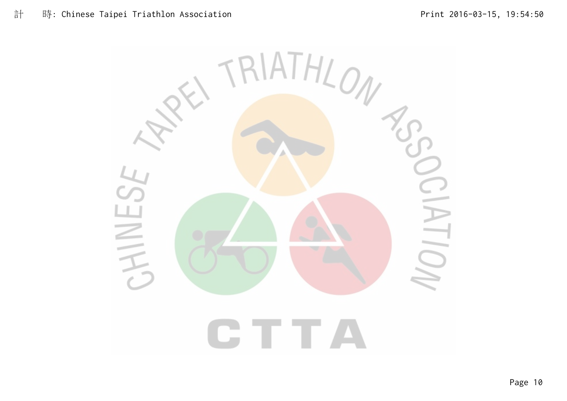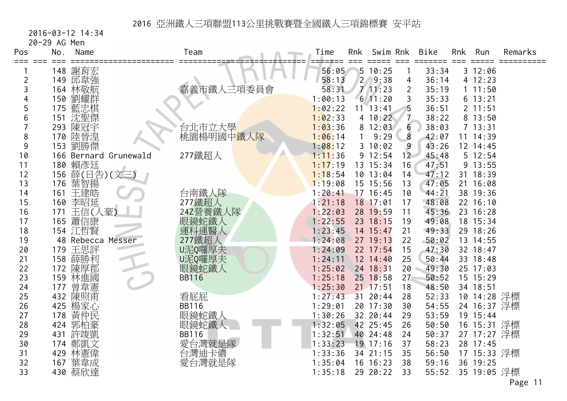2016-03-12 14:34

|                | 20-29 AG Men |                       |              |         |                 |              |                |       |            |             |         |
|----------------|--------------|-----------------------|--------------|---------|-----------------|--------------|----------------|-------|------------|-------------|---------|
| Pos            | No.          | Name                  | Team         | Time    | Rnk             | Swim Rnk     |                | Bike  | <b>Rnk</b> | Run         | Remarks |
|                |              |                       |              | 56:05   | $5\overline{)}$ | 10:25        |                | 33:34 |            | 3 12:06     |         |
| $\overline{2}$ |              | 148 謝育宏<br>149 邱韋強    |              | 58:13   | 2 <sup>7</sup>  | 9:38         | 4              | 36:14 |            | 4 12:23     |         |
| 3              |              | 164 林敬航               | 嘉義市鐵人三項委員會   | 58:31   |                 | 7/11:23      | $\overline{2}$ | 35:19 |            | 111:50      |         |
|                | 150          | 劉耀群                   |              | 1:00:13 |                 | 611:20       | 3              | 35:33 |            | 6 13:21     |         |
| 5              | 175          | 藍忠棋                   |              | 1:02:22 |                 | $11 \t13:41$ |                | 36:51 |            | 2 11:51     |         |
| 6              | 151          | 沈聖傑                   |              | 1:02:33 |                 | 4 10:22      | $\overline{7}$ | 38:22 |            | 8 13:50     |         |
|                |              | 293 陳冠宇               | 台北市立大學       | 1:03:36 |                 | 8 12:03      | 6              | 38:03 |            | 7 13:31     |         |
| 8              |              | 170 陸晉湟               | 桃園楊明國中鐵人隊    | 1:06:14 |                 | 9:29         | 8              | 42:07 |            | 11 14:39    |         |
| 9              | 153          | 劉勝傑                   |              | 1:08:12 |                 | 3 10:02      | 9              | 43:26 |            | 12 14:45    |         |
| 10             |              | 166 Bernard Grunewald | 277鐵超人       | 1:11:36 |                 | 9 12:54      | 12             | 45:48 |            | 5 12:54     |         |
| 11             |              | 180 賴彥廷               |              | 1:17:19 |                 | 13 15:34     | 16             | 47:51 |            | $9$ 13:55   |         |
| 12             |              | 156 薛(日告)(文三          |              | 1:18:54 |                 | 10 13:04     | 14             | 47:12 |            | 31 18:39    |         |
| 13             | 176          |                       |              | 1:19:08 |                 | 15 15:56     | 13             | 47:05 |            | 21 16:08    |         |
| 14             | 161          | 葉智揚<br>王建皓            | 台南鐵人隊        | 1:20:41 |                 | 17 16:45     | 10             | 44:21 |            | 38 19:36    |         |
| 15             |              | 160 李昭延               | 277鐵超人       | 1:21:18 |                 | 18 17:01     | 17             | 48:08 |            | 22 16:10    |         |
| 16             | 171          | 王信(人豪)                | 24Z營養鐵人隊     | 1:22:03 |                 | 28 19:59     | 11             | 45:36 |            | 23 16:28    |         |
| 17             |              | 165 蕭信康               | 眼鏡蛇鐵人        | 1:22:55 |                 | 23 18:15     | 19             | 49:08 |            | 18 15:34    |         |
| 18             |              | 154 江哲賢               | 運醫人          | 1:23:45 |                 | 14 15:47     | 21             | 49:33 |            | 29 18:26    |         |
| 19             |              | 48 Rebecca Messer     | 277鐵超        | 1:24:08 |                 | 27 19:13     | 22             | 50:02 |            | 13 14:55    |         |
| 20             |              | 179 王思評               | U泥Q囉厚夫       | 1:24:09 |                 | 22 17:54     | 15             | 47:30 |            | 32 18:47    |         |
| 21             |              | 158 薛勝利               | U泥Q囉厚夫       | 1:24:11 |                 | 12 14:40     | 25             | 50:44 |            | 33 18:48    |         |
| 22             |              | 172 陳厚郡               | 眼鏡蛇鐵人        | 1:25:02 |                 | 24 18:31     | 20             | 49:30 |            | 25 17:03    |         |
| 23             |              | 159 林進國               | <b>BB116</b> | 1:25:18 |                 | 25 18:58     | 27             | 50:52 |            | 15 15:29    |         |
| 24             | 177          | 曾韋憲                   |              | 1:25:30 |                 | $21$ 17:51   | 18             | 48:50 |            | 34 18:51    |         |
| 25             | 432          | 陳照甫                   | 看屁屁          | 1:27:43 |                 | 31 20:44     | 28             | 52:33 |            | 10 14:28 浮標 |         |
| 26             |              | 425 楊家心               | <b>BB116</b> | 1:29:01 |                 | 20 17:30     | 30             | 54:55 |            | 24 16:37 浮標 |         |
| 27             | 178          | 黃仲民                   | 眼鏡蛇鐵人        | 1:30:26 |                 | 32 20:44     | 29             | 53:59 |            | 19 15:44    |         |
| 28             | 424          | 郭柏豪                   | 眼鏡蛇鐵人        | 1:32:05 |                 | 42 25:45     | 26             | 50:50 |            | 16 15:31 浮標 |         |
| 29             | 431          | 許竣凱                   | <b>BB116</b> | 1:32:51 |                 | 40 24:48     | 24             | 50:37 |            | 27 17:27 浮標 |         |
| 30             |              | 174 鄭凱文               | 愛台灣就是隊       | 1:33:23 |                 | 19 17:16     | 37             | 58:23 |            | 28 17:45    |         |
| 31             |              | 429 林憲偉               | 台灣迪卡儂        | 1:33:36 |                 | 34 21:15     | 35             | 56:50 |            | 17 15:33 浮標 |         |
| 32             |              | 167 葉韋成               | 愛台灣就是隊       | 1:35:04 |                 | 16 16:23     | 38             | 59:16 |            | 36 19:25    |         |
| 33             |              | 430 蔡欣達               |              | 1:35:18 |                 | 29 20:22     | 33             | 55:52 |            | 35 19:05 浮標 |         |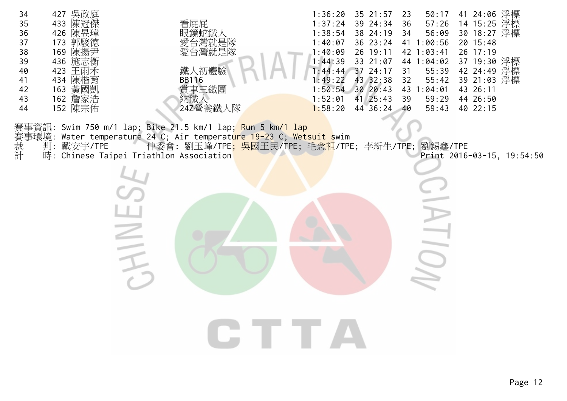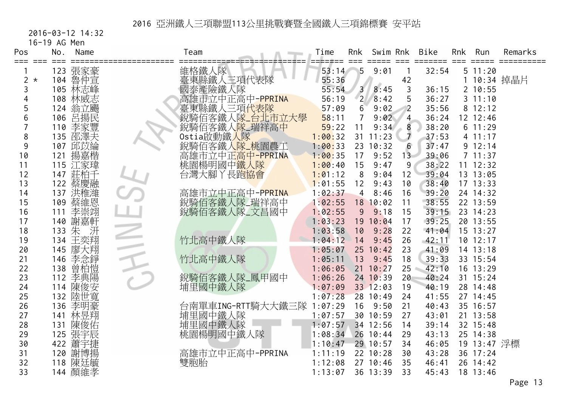2016-03-12 14:32

16-19 AG Men

| Pos                       | No.   | Name               | Team                         | Time               | Rnk              | Swim Rnk                 |                 | Bike           | Rnk | Run                  | Remarks     |
|---------------------------|-------|--------------------|------------------------------|--------------------|------------------|--------------------------|-----------------|----------------|-----|----------------------|-------------|
|                           |       | 123 張家豪            |                              | 53:14              | $5^{\circ}$      | 9:01                     |                 | 32:54          |     | 5 11:20              |             |
| $\overline{2}$<br>$\star$ |       | 104 魯仲宣            | 維格鐵人隊<br>臺東縣鐵人三項代表隊          | 55:36              |                  |                          | 42              |                |     |                      | 1 10:34 掉晶片 |
| 3                         |       | 105 林志峰            | 國泰產險鐵人隊                      | 55:54              | $\overline{3}$   | 8:45                     | 3               | 36:15          |     | 2 10:55              |             |
|                           |       | 108 林威志            | 高雄市立中正高中-PPRINA              | 56:19              | $\mathbf{r}_2$   | 8:42                     | 5               | 36:27          |     | 3 11:10              |             |
| 5                         | 124   | 翁立颺                | 臺東縣鐵人三項 <mark>代表隊</mark>     | 57:09              | $6 \overline{6}$ | 9:02                     | $\overline{2}$  | 35:56          |     | 8 12:12              |             |
| 6                         | 106   | 呂揚民                | 銳騎佰客鐵人 <mark>隊_台北市立大學</mark> | 58:11              | $\overline{7}$   | 9:02                     | $\overline{4}$  | 36:24          |     | 12 12:46             |             |
|                           | 110   | 李家豐                | 鋭騎佰客鐵人隊 瑞祥高中                 | 59:22              | 11               | 9:34                     | 8               | 38:20          |     | 611:29               |             |
| 8                         | 135   | 邵澤夫                | Ostia啟動鐵人隊                   | 1:00:32            |                  | 31 11:23                 | $\overline{7}$  | 37:53          |     | 4 11:17              |             |
| 9                         | 107   | 邱苡綸                | 銳騎佰客鐵人 <mark>隊_桃園農工</mark>   | 1:00:33            |                  | 23 10:32                 | 6               | 37:47          |     | 9 12:14              |             |
| 10                        | 121   | 揚嘉楷                | 高雄市立中正高中-PPRINA              | 1:00:35            | 17               | 9:52                     | 13 <sup>7</sup> | 39:06          |     | 7 11:37              |             |
| 11                        |       | 115 江家瑋            | 桃園楊明國中鐵人隊                    | 1:00:40            | 15               | 9:47                     | 9               | 38:22          |     | $11$ $12:32$         |             |
| 12                        | 147   | 莊柏千                | 台灣大腳丫長跑協會                    | 1:01:12            | 8                | 9:04                     | 12              | 39:04          |     | 13 13:05             |             |
| 13                        |       | 122 蔡慶融            |                              | 1:01:55            | 12               | 9:43                     | 10              | 38:40          |     | $17$ $13:33$         |             |
| 14                        |       | 137 洪稚濰            | 高雄市立中正高中-PPRINA              | 1:02:37            | $\overline{4}$   | 8:46                     | 16              | 39:20          |     | 24 14:32             |             |
| 15                        |       | 109 蔡維恩            | 鋭騎佰客鐵人隊_瑞祥高中                 | 1:02:55            |                  | 18 10:02                 | 11              | 38:55          |     | 22 13:59             |             |
| 16                        | 111   | 李崇翊                | 銳騎佰客鐵人隊_文昌國中                 | 1:02:55            | 9                | 9:18                     | 15              | 39:15          |     | 23 14:23             |             |
| 17                        |       | 140 謝嘉軒            |                              | 1:03:23            |                  | 19 10:04                 | 17              | 39:25          |     | 20 13:55             |             |
| 18                        | 133 朱 | 汧                  |                              | 1:03:58            | 10               | 9:28                     | 22              | 41:04          |     | $15$ $13:27$         |             |
| 19                        |       | 134 王奕翔            | 竹北高中鐵人隊                      | 1:04:12            | 14               | 9:45                     | 26              | 42:11          |     | $10$ $12:17$         |             |
| 20                        |       | 145 廖大翔            |                              | 1:05:07            |                  | 25 10:42                 | 23              | 41:09          |     | 14 13:18             |             |
| 21                        |       | 146 李念錚<br>138 曾柏愷 | 竹北高中鐵人隊                      | 1:05:11            | 13               | 9:45                     | 18              | 39:33          |     | 33 15:54             |             |
| 22                        |       |                    |                              | 1:06:05            |                  | $21 \t10:27$<br>24 10:39 | $25 -$<br>20    | 42:10<br>40:24 |     | 16 13:29             |             |
| 23<br>24                  |       | 112 李典陽            | 銳騎佰客鐵人隊_鳳甲國中<br>埔里國中鐵人隊      | 1:06:26<br>1:07:09 |                  | 33 12:03                 |                 | 40:19          |     | 31 15:24             |             |
| 25                        |       | 114 陳俊安<br>132 陸世寬 |                              | 1:07:28            |                  | 28 10:49                 | 19<br>24        | 41:55          |     | 28 14:48<br>27 14:45 |             |
| 26                        | 136   | 李明豪                | 台南單車ING-RTT騎大大鐵三隊            | 1:07:29            | 16               | 9:50                     | 21              | 40:43          |     | 35 16:57             |             |
| 27                        | 141   | 林昱翔                | 埔里國中鐵人隊                      | 1:07:57            |                  | 30 10:59                 | 27              | 43:01          |     | 21 13:58             |             |
| 28                        | 131   | 陳俊佑                | 埔里國中鐵人隊                      | 1:07:57            |                  | 34 12:56                 | 14              | 39:14          |     | 32 15:48             |             |
| 29                        | 125   | 張宇辰                | 桃園楊明國中鐵人隊                    | 1:08:34            |                  | 26 10:44                 | 29              | 43:13          |     | 25 14:38             |             |
| 30                        | 422   | 蕭宇捷                |                              | 1:10:47            |                  | 29 10:57                 | 34              | 46:05          |     | 19 13:47 浮標          |             |
| 31                        | 120   | 謝博揚                | 高雄市立中正高中-PPRINA              | 1:11:19            |                  | 22 10:28                 | 30              | 43:28          |     | 36 17:24             |             |
| 32                        |       | 118 陳廷毓            | 雙胞胎                          | 1:12:08            |                  | 27 10:46                 | 35              | 46:41          |     | 26 14:42             |             |
| 33                        |       | 144 顏維孝            |                              | 1:13:07            |                  | 36 13:39                 | 33              | 45:43          |     | 18 13:46             |             |
|                           |       |                    |                              |                    |                  |                          |                 |                |     |                      |             |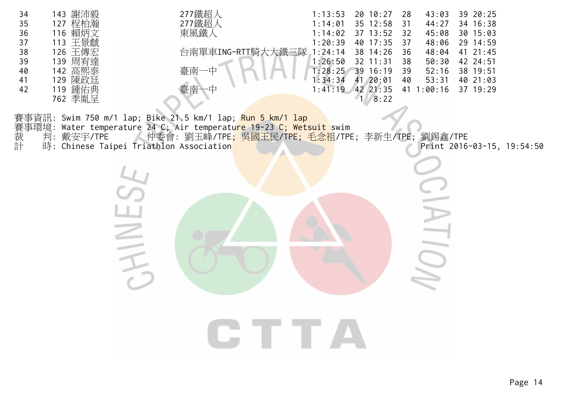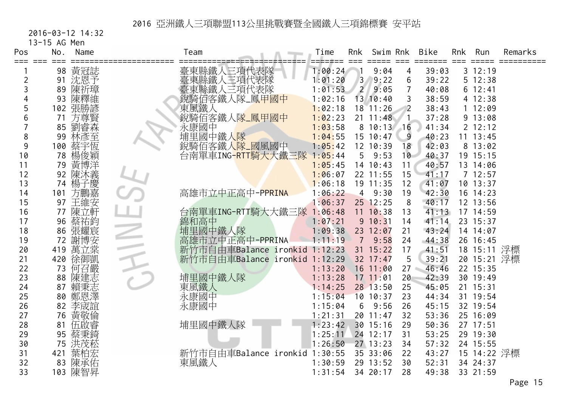2016-03-12 14:32

13-15 AG Men

| Pos      | No.       | Name       | Team                          | Time    | Rnk            | Swim Rnk             |                | Bike           | Rnk | Run                        | Remarks |
|----------|-----------|------------|-------------------------------|---------|----------------|----------------------|----------------|----------------|-----|----------------------------|---------|
|          | 98        |            | 臺東縣鐵人三項代表隊                    | 1:00:24 |                | 9:04                 | 4              | 39:03          |     | 3 12:19                    |         |
| 2        | 91        | 黃冠誌<br>沈恩予 | 臺東縣鐵人三項代表隊                    | 1:01:20 | $\overline{3}$ | 9:22                 | 6              | 39:22          |     | 5 12:38                    |         |
|          | 89        | 陳祈璋        | 東縣鐵人三項代表隊                     | 1:01:53 | $\overline{2}$ | 9:05                 | 7              | 40:08          |     | 6 12:41                    |         |
|          | 93        | 陳釋維        | 鋭騎佰客鐵人隊_鳳甲國中                  | 1:02:16 |                | 13 10:40             | 3              | 38:59          |     | 4 12:38                    |         |
|          |           | 102 張勝諺    | 東風鐵人                          | 1:02:18 |                | 18 11:26             | $\overline{2}$ | 38:43          |     | 1 12:09                    |         |
| 6        | 71        | 方尊賢        | 銳騎佰客鐵人 <mark>隊_鳳甲國中</mark>    | 1:02:23 |                | $21 \t11:48$         |                | 37:28          |     | 9 13:08                    |         |
|          | 85        | 劉<br> 睿森   | 永康國中                          | 1:03:58 |                | 8 10:13              | $-16$          | 41:34          |     | 2 12:12                    |         |
| 8        | 99        | :彥至        | 埔里國中鐵人隊                       | 1:04:55 |                | 15 10:47             | 9              | 40:23          |     | $11$ $13:45$               |         |
| 9        | 100       | 蔡宇恆        | 銳騎佰客鐵人 <mark>隊_國風國中</mark>    | 1:05:42 |                | 12 10:39             | 18             | 42:03          |     | 8 13:02                    |         |
| 10       | 78        | 楊俊穎        | 台南單車ING-RTT騎大大鐵三隊             | 1:05:44 | 5              | 9:53                 | 10             | 40:37          |     | 19 15:15                   |         |
| 11       | 79        | 黄<br>博洋    |                               | 1:05:45 |                | 14 10:43             | 11             | 40:57          |     | 13 14:06                   |         |
| 12       | 92        | 陳沐義        |                               | 1:06:07 |                | 22 11:55             | 15             | 41:17          |     | 712:57                     |         |
| 13       | 74        | 楊子慶<br>方鵬嘉 |                               | 1:06:18 |                | 19 11:35             | 12             | 41:07          |     | 10 13:37                   |         |
| 14       | 101       |            | 高雄市立中正高中-PPRINA               | 1:06:22 | $\overline{4}$ | 9:30                 | 19             | 42:30          |     | 16 14:23                   |         |
| 15       | 97        | 王維安        |                               | 1:06:37 |                | 25 12:25             | 8              | 40:17          |     | 12 13:56                   |         |
| 16       | 77        | 陳立軒        | 台南單車ING-RTT騎大大鐵三隊             | 1:06:48 |                | $11 \t10:38$         | 13             | 41:13          |     | 17 14:59                   |         |
| 17       | 96        | 蔡祐鈞        | 錦和高中<br>埔里國中鐵人隊               | 1:07:21 |                | 9 10:31              | 14             | 41:14          |     | 23 15:37                   |         |
| 18       | 86        | 張耀宸        |                               | 1:09:38 |                | 23 12:07             | 21             | 43:24          |     | 14 14:07                   |         |
| 19       | 72        | 謝博安        | 高雄市立中正高中-PPRINA               | 1:11:19 | $\sqrt{7}$     | 9:58                 | 24             | 44:38          |     | 26 16:45                   |         |
| 20       | 419       | 萬<br>立棠    | 新竹市自由車Balance ironkid 1:12:23 |         |                | 31 15:22             | 17             | 41:51          |     | 18 15:11 浮標<br>20 15:21 浮標 |         |
| 21<br>22 | 420<br>73 | 徐御凱        | 新竹市自由車Balance ironkid 1:12:29 | 1:13:20 |                | 32 17:47<br>16 11:00 | 5<br>27        | 39:21<br>46:46 |     | 22 15:35                   |         |
| 23       | 88        | 何召嚴<br>陳建志 | 埔里國中鐵人隊                       | 1:13:28 |                | $17$ $11:01$         | 20             | 42:39          |     | 30 19:49                   |         |
| 24       | 87        |            | 東風鐵人                          | 1:14:25 |                | 28 13:50             | 25             | 45:05          |     | 21 15:31                   |         |
| 25       | 80        | 鄭恩澤        | 永康國中                          | 1:15:04 |                | 10 10:37             | 23             | 44:34          |     | 31 19:54                   |         |
| 26       | 82        | 李宬誼        | 永康國中                          | 1:15:04 | 6              | 9:56                 | 26             | 45:15          |     | 32 19:54                   |         |
| 27       | 76        | 黃敬倫        |                               | 1:21:31 |                | 20 11:47             | 32             | 53:36          |     | 25 16:09                   |         |
| 28       | 81        | 伍啟睿        | 埔里國中鐵人隊                       | 1:23:42 |                | 30 15:16             | 29             | 50:36          |     | 27 17:51                   |         |
| 29       | 95        | 蔡秉錡        |                               | 1:25:11 |                | 24 12:17             | 31             | 53:25          |     | 29 19:30                   |         |
| 30       | 75        | 洪茂菘        |                               | 1:26:50 |                | $27$ 13:23           | 34             | 57:32          |     | 24 15:55                   |         |
| 31       | 421       | 葉柏宏        | 新竹市自由車Balance ironkid 1:30:55 |         |                | 35 33:06             | 22             | 43:27          |     | 15 14:22 浮標                |         |
| 32       | 83        | 陳承佑        | 東風鐵人                          | 1:30:59 |                | 29 13:52             | 30             | 52:31          |     | 34 24:37                   |         |
| 33       | 103       | 陳智昇        |                               | 1:31:54 |                | 34 20:17             | 28             | 49:38          |     | 33 21:59                   |         |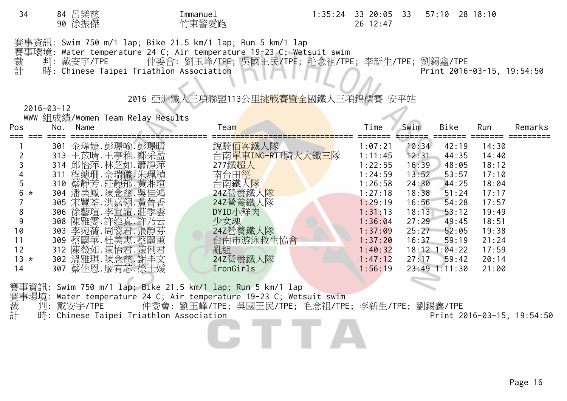| 34                                                                                                                                                                                                                                                                                                                           | 84 呂樂慈<br>90 徐振傑                                                                                                                                                                                                                                                                                                                 | Immanuel<br>竹東警愛跑                                                                                                                                                                                                                                                                                                                                           |                   | $1:35:24$ 33 20:05 33<br>26 12:47                                                                                                                      |                                                                                                          | 57:10 28 18:10                                                                                                                                   |                                                                                                                            |                            |
|------------------------------------------------------------------------------------------------------------------------------------------------------------------------------------------------------------------------------------------------------------------------------------------------------------------------------|----------------------------------------------------------------------------------------------------------------------------------------------------------------------------------------------------------------------------------------------------------------------------------------------------------------------------------|-------------------------------------------------------------------------------------------------------------------------------------------------------------------------------------------------------------------------------------------------------------------------------------------------------------------------------------------------------------|-------------------|--------------------------------------------------------------------------------------------------------------------------------------------------------|----------------------------------------------------------------------------------------------------------|--------------------------------------------------------------------------------------------------------------------------------------------------|----------------------------------------------------------------------------------------------------------------------------|----------------------------|
| 賽事資訊: Swim 750 m/1 lap; Bike 21.5 km/1 lap; Run 5 km/1 lap<br>賽事環境: Water temperature 24 C; Air temperature 19-23 C; Wetsuit swim<br>裁計<br>判:戴安宇/TPE            仲委會:劉玉峰/TPE;吳國王民/TPE;毛念祖/TPE;李新生/TPE;劉錫鑫/TPE<br>時: Chinese Taipei Triathlon Association<br>Print 2016-03-15, 19:54:50<br>2016 亞洲鐵人三項聯盟113公里挑戰賽暨全國鐵人三項錦標賽 安平站 |                                                                                                                                                                                                                                                                                                                                  |                                                                                                                                                                                                                                                                                                                                                             |                   |                                                                                                                                                        |                                                                                                          |                                                                                                                                                  |                                                                                                                            |                            |
| Pos                                                                                                                                                                                                                                                                                                                          | $2016 - 03 - 12$<br>WWW 組成績/Women Team Relay Results<br>No. Name                                                                                                                                                                                                                                                                 | Team                                                                                                                                                                                                                                                                                                                                                        |                   | Time                                                                                                                                                   | Swim                                                                                                     | Bike                                                                                                                                             | Run                                                                                                                        | Remarks                    |
| $\begin{array}{c} 2 \\ 3 \end{array}$<br>4<br>5<br>$6 *$<br>8<br>$\boldsymbol{9}$<br>10<br>11<br>12<br>$13 *$<br>14<br>裁<br>計                                                                                                                                                                                                | 301 金瑋婕.彭璟喻.彭璟晴<br>313 王苡晴.王亭雅.鄭采盈<br>314 邱怡萍.林芝如.蕭靜萍<br>311 程繐珊. 佘瑞儀. 朱珮禎<br>310 蔡靜芳.藤念.吳子和義子,<br>304 潘美鳳.陳念.吳青香雲.<br>宋朝天皇王.洪嘉翎.黃春雲.<br>306 徐藝瑄.李宜誼.莊乃云.<br>306 陳雅雯.許羅雲.<br>303 李宛蒨.周姿君.張靜芬<br>309 蔡麗華.杜美惠.蔡麗蕙<br>312 陳薇如.陳怡君.陳俐君<br>302 溫雅琪.陳念慈.謝丰文<br>307 蔡佳恩.廖宥芯.徐士媛<br>判:戴安宇/TPE<br>時: Chinese Taipei Triathlon Association | 銳騎 <mark>佰客鐵</mark> 人隊<br>277鐵超人<br>南台田徑<br>台南鐵人隊<br>24Z營養鐵人 <mark>隊</mark><br>24Z營養鐵人隊<br>DYID小鮮肉<br>少女魂<br>24Z營養鐵人隊<br>台南市游泳救生協會<br>亂組<br>24Z營養鐵人隊<br>IronGirls<br>賽事資訊: Swim 750 m/1 lap; Bike 21.5 km/1 lap; Run 5 km/1 lap<br>賽事環境: Water temperature 24 C; Air temperature 19-23 C; Wetsuit swim<br>仲委會: 劉玉峰/TPE; 吳國王民/TPE; 毛念祖/TPE; 李新生/TPE; 劉錫鑫/TPE | 台南單車ING-RTT騎大大鐵三隊 | 1:07:21<br>1:11:45<br>1:22:55<br>1:24:59<br>1:26:58<br>1:27:18<br>1:29:19<br>1:31:13<br>1:36:04<br>1:37:09<br>1:37:20<br>1:40:32<br>1:47:12<br>1:56:19 | 10:34<br>12:31<br>16:39<br>13:52<br>24:30<br>18:38<br>16:56<br>18:13<br>27:29<br>25:27<br>16:37<br>27:17 | 42:19<br>44:35<br>48:05<br>53:57<br>44:25<br>51:24<br>54:28<br>53:12<br>49:45<br>52:05<br>59:19<br>$18:12$ $1:04:22$<br>59:42<br>$23:49$ 1:11:30 | 14:30<br>14:40<br>18:12<br>17:10<br>18:04<br>17:17<br>17:57<br>19:49<br>18:51<br>19:38<br>21:24<br>17:59<br>20:14<br>21:00 | Print 2016-03-15, 19:54:50 |

Page 16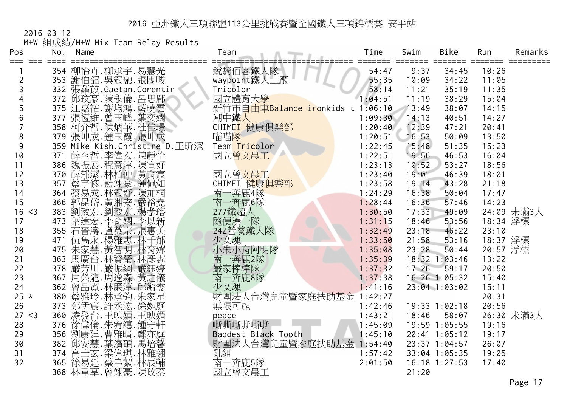2016-03-12

M+W 組成績/M+W Mix Team Relay Results

| Pos            | No. | Name                                   | Team                                            | Time    | Swim  | <b>Bike</b>       | Run      | Remarks    |
|----------------|-----|----------------------------------------|-------------------------------------------------|---------|-------|-------------------|----------|------------|
|                |     | 354 柳怡卉.柳承宇.易慧光                        | 銳騎佰客鐵人隊                                         | 54:47   | 9:37  | 34:45             | 10:26    |            |
| $\overline{2}$ |     | 353 謝伯韶.吳冠融.張團畯                        | waypoint鐵人工廠                                    | 55:35   | 10:09 | 34:22             | 11:05    |            |
| 3              |     | 332 張蘿苡.Gaetan.Corentin                | Tricolor                                        | 58:14   | 11:21 | 35:19             | 11:35    |            |
| 4              |     | 372 邱玟豪.陳永倫.呂思郿                        | 國立體育大學                                          | :04:51  | 11:19 | 38:29             | 15:04    |            |
| $\mathbf 5$    |     | 375 江嘉祐. 謝均鴻. 藍曉雲                      | 新竹市自 <mark>由車Balance iro</mark> nkids t 1:06:10 |         | 13:49 | 38:07             | 14:15    |            |
| $\,$ 6 $\,$    |     |                                        | 潮中鐵人                                            | 1:09:30 | 14:13 | 40:51             | 14:27    |            |
| $\overline{7}$ |     | 377 張恆維. 曾玉峰. 葉奕嫻<br>358 柯介哲. 陳炳華. 杜佳璟 | CHIMEI 健康俱樂部                                    | 1:20:40 | 12:39 | 47:21             | 20:41    |            |
| 8              |     | 379 張坤成.鍾玉霞.張坤成                        | 喵喵隊                                             | 1:20:51 | 16:53 | 50:09             | 13:50    |            |
| 9              |     | 359 Mike Kish.Christine D.王昕潔          | Team Tricolor                                   | 1:22:45 | 15:48 | 51:35             | 15:23    |            |
| 10             | 371 | 薛至哲.李偉玄.陳靜怡                            | 國立曾文農工                                          | 1:22:51 | 19:56 | 46:53             | 16:04    |            |
| 11             |     | 386 魏振展.程意淳.陳宣妤<br>370 薛郁潔.林柏仲.黃育宸     |                                                 | 1:23:13 | 10:52 | 53:27             | 18:56    |            |
| 12             |     |                                        | 國立曾文農工                                          | 1:23:40 | 19:01 | 46:39             | 18:01    |            |
| 13             | 357 | 蔡宇修.藍翊豪.鍾佩如                            | CHIMEI 健康俱樂部                                    | 1:23:58 | 19:14 | 43:28             | 21:18    |            |
| 14             | 364 | 蔡易成. 林冠好. 陳加桐                          | 南一奔鹿4隊                                          | 1:24:29 | 16:38 | 50:04             | 17:47    |            |
| 15             |     | 366 郭昆岱. 黃湘安. 嚴裕堯                      | 一奔鹿6隊<br>南一                                     | 1:28:44 | 16:36 | 57:46             | 14:23    |            |
| 16 < 3         | 383 | 劉致宏.劉致宏.楊孝瑢                            | 277鐵超人                                          | 1:30:50 | 17:33 | 49:09             |          | 24:09 未滿3人 |
| 17             | 473 | 葉建宏.李育嫻.李以新                            | 隨便湊一隊                                           | 1:31:15 | 18:46 | 53:56             | 18:34 浮標 |            |
| 18             | 355 | 石晉濤.盧英宗.張惠美                            | 24Z營養鐵人隊                                        | 1:32:49 | 23:18 | 46:22             | 23:10    |            |
| 19             |     | 471 伍雋永.楊雅惠.林千郁<br>475 朱家慧.黃智明.林育嬋     | 少女魂                                             | 1:33:50 | 21:58 | 53:16             | 18:37 浮標 |            |
| 20             |     |                                        | 小朱小育阿明隊                                         | 1:35:08 | 23:28 | 50:44             | 20:57 浮標 |            |
| 21             |     | 363 馬廣台.林資螢.林彥霆<br>378 嚴芳川.嚴振綱.嚴鈺婷     | 一奔鹿2隊<br>南                                      | 1:35:39 |       | $18:32$ $1:03:46$ | 13:22    |            |
| 22             |     |                                        | 嚴家棒棒隊                                           | 1:37:32 | 17:26 | 59:17             | 20:50    |            |
| 23             | 367 | 周榮龍.周逸森.黃之儀                            | 一奔鹿8隊<br>南                                      | 1:37:38 |       | $16:26$ 1:05:32   | 15:40    |            |
| 24             |     | 362 曾品霓.林廉淳.邱毓雯                        | 少女魂                                             | 1:41:16 |       | 23:04 1:03:02     | 15:11    |            |
| 25 $\star$     | 380 | 蔡雅玲.林承鈞.朱家星                            | 財團法人台灣兒童暨家庭扶助基金                                 | 1:42:27 |       |                   | 20:31    |            |
| 26             | 373 | 鄭伊宸.許丞汯.徐婉庭                            | 無限可能                                            | 1:42:46 |       | $19:33$ $1:02:18$ | 20:56    |            |
| 27 < 3         | 360 | 凌發台.王映媚.王映媚                            | peace                                           | 1:43:21 | 18:46 | 58:07             |          | 26:30 未滿3人 |
| 28             | 376 | 徐偉倫.朱宥繐.鍾守軒<br>劉康廷.曹雅晴.鄭亦庭             | 嘶嘶嘶嘶嘶嘶                                          | 1:45:09 |       | 19:59 1:05:55     | 19:16    |            |
| 29             | 356 |                                        | Baddest Black Tooth                             | 1:45:10 |       | 20:41 1:05:12     | 19:17    |            |
| 30             |     | 382 邱安慧. 葉濱碩. 馬培馨                      | 財團法人台灣兒童暨家庭扶助基金                                 | 1:54:40 |       | 23:37 1:04:57     | 26:07    |            |
| 31             | 374 | 高士玄.梁偉琪.林雅翎                            | 亂組                                              | 1:57:42 |       | 33:04 1:05:35     | 19:05    |            |
| 32             |     | 365 徐易廷.蔡聿絜.林辰輔                        | 南一奔鹿5隊                                          | 2:01:50 |       | 16:18 1:27:53     | 17:40    |            |
|                |     | 368 林韋享.曾翊豪.陳玟蓁                        | 國立曾文農工                                          |         | 21:20 |                   |          |            |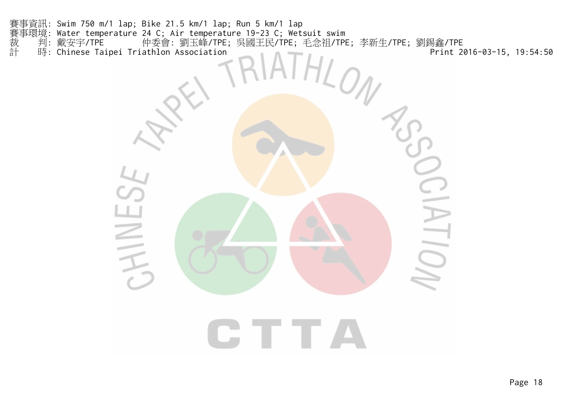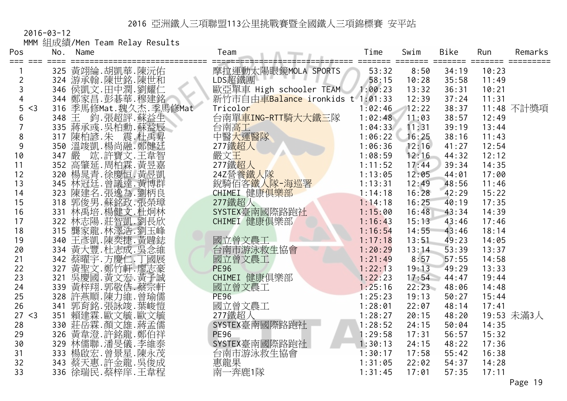2016-03-12 MMM 組成績/Men Team Relay Results

| os | No. | Name |
|----|-----|------|

| Pos            | No. | Name                                                                                                                               | Team                                       | Time          | Swim            | Bike  | Run   | Remarks    |
|----------------|-----|------------------------------------------------------------------------------------------------------------------------------------|--------------------------------------------|---------------|-----------------|-------|-------|------------|
|                |     |                                                                                                                                    | 摩拉運動太陽眼鏡MOLA SPORTS                        | ====<br>53:32 | =======<br>8:50 | 34:19 | 10:23 |            |
| $\overline{2}$ |     | 325 黃翊綸.胡凱華.陳沅佑<br>324 游承翰.陳世銘.陳世和<br>346 侯凱文.田中潤.劉耀仁<br>344 鄭家昌.彭碁華.穆建銘                                                           | LDS超鐵團                                     | 58:15         | 10:28           | 35:58 | 11:49 |            |
| $\mathfrak{Z}$ |     |                                                                                                                                    | 歐亞單車 High schooler TEAM                    | 1:00:23       | 13:32           | 36:31 | 10:21 |            |
| 4              |     |                                                                                                                                    | 新竹市自由車Balance ironkids t 1:01:33           |               | 12:39           | 37:24 | 11:31 |            |
| 5<br>$<$ 3     |     |                                                                                                                                    | Tricolor                                   | 1:02:46       | 12:22           | 38:37 |       | 11:48 不計獎項 |
| 6              |     | 316 季馬修Mat.魏久杰.季馬修Mat<br>348 王 _ 鈞.張超評.蘇益生<br>348 王 _ 鈞.張超評.蘇益生<br>335 蔣承彧.吳柏勳.蘇益辰                                                 | 台南單車ING-RTT騎大大鐵三隊                          | 1:02:48       | 11:03           | 38:57 | 12:49 |            |
| 7              |     |                                                                                                                                    |                                            | 1:04:33       | 11:31           | 39:19 | 13:44 |            |
| 8              |     | 317 陳柏諺.朱 震.杜禹昇                                                                                                                    | 台南 <mark>高工</mark><br>中醫 <mark>大運醫隊</mark> | 1:06:22       | 16:25           | 38:16 | 11:43 |            |
| 9              |     | 350 溫竣凱. 楊尚融. 鄭健廷                                                                                                                  | 277鐵超人                                     | 1:06:36       | 12:16           | 41:27 | 12:54 |            |
| 10             |     |                                                                                                                                    | 嚴文王                                        | 1:08:59       | 12:16           | 44:32 | 12:12 |            |
| 11             |     |                                                                                                                                    | 277鐵超人                                     | 1:11:52       | 17:44           | 39:34 | 14:35 |            |
| 12             |     |                                                                                                                                    | 24Z營養鐵人隊                                   | 1:13:05       | 12:05           | 44:01 | 17:00 |            |
| 13             |     |                                                                                                                                    | 銳騎佰客鐵人隊-海巡署                                | 1:13:31       | 12:49           | 48:56 | 11:46 |            |
| 14             |     |                                                                                                                                    | CHIMEI 健康俱樂部                               | 1:14:18       | 16:28           | 42:29 | 15:22 |            |
| 15             |     |                                                                                                                                    | 277鐵超人                                     | 1:14:18       | 16:25           | 40:19 | 17:35 |            |
| 16             |     |                                                                                                                                    | SYSTEX臺南國際路跑社                              | 1:15:00       | 16:48           | 43:34 | 14:39 |            |
| 17             |     |                                                                                                                                    | CHIMEI 健康俱樂部                               | 1:16:43       | 15:13           | 43:46 | 17:46 |            |
| 18             |     |                                                                                                                                    |                                            | 1:16:54       | 14:55           | 43:46 | 18:14 |            |
| 19             |     |                                                                                                                                    | 國立曾文農工                                     | 1:17:18       | 13:51           | 49:23 | 14:05 |            |
| 20             |     |                                                                                                                                    | 台南市游泳救生協會                                  | 1:20:29       | 13:14           | 53:39 | 13:37 |            |
| 21             |     | 342 蔡曜宇.方慶仁.丁<br>`國展                                                                                                               | 國立曾文農工                                     | 1:21:49       | 8:57            | 57:55 | 14:58 |            |
| 22             |     | 327 黃聖文.鄭竹軒.廖志子<br>327 黃聖文.鄭竹軒.廖志子誠<br>330 黃梓翔.郭敬佶.蔡瑜德<br>330 黃梓顯.陳力維.曾瑜儒<br>328 許燕順.陳力維.尊瑜<br>341 郭顏銘.張文毓.歐文錦.<br>351 賴建霖.歐文毓.歐文錦 | <b>PE96</b>                                | 1:22:13       | 19:13           | 49:29 | 13:33 |            |
| 23             |     |                                                                                                                                    | CHIMEI 健康俱樂部                               | 1:22:23       | 17:54           | 44:47 | 19:44 |            |
| 24             |     |                                                                                                                                    | 國立曾文農工                                     | 1:25:16       | 22:23           | 48:06 | 14:48 |            |
| 25             |     |                                                                                                                                    | <b>PE96</b>                                | 1:25:23       | 19:13           | 50:27 | 15:44 |            |
| 26             |     |                                                                                                                                    | 國立曾文農工                                     | 1:28:01       | 22:07           | 48:14 | 17:41 |            |
| 27 < 3         |     |                                                                                                                                    | 277鐵超人                                     | 1:28:27       | 20:15           | 48:20 |       | 19:53 未滿3人 |
| 28             |     | 330 莊岳霖.顏文雄.蔣孟儒                                                                                                                    | SYSTEX臺南國際路跑社                              | 1:28:52       | 24:15           | 50:04 | 14:35 |            |
| 29             |     | 326 黃韋澄.許銘龍.鄭伯祥                                                                                                                    | <b>PE96</b>                                | 1:29:58       | 17:31           | 56:57 | 15:32 |            |
| 30             |     | 329 林儒聯.潘旻儀.李維泰<br>333 楊啟宏.曾景星.陳永茂<br>343 蔡天惠.許金龍.吳俊成                                                                              | SYSTEX臺南國際路跑社                              | 1:30:13       | 24:15           | 48:22 | 17:36 |            |
| 31             |     |                                                                                                                                    | 台南市游泳救生協會<br>惠龍果                           | 1:30:17       | 17:58           | 55:42 | 16:38 |            |
| 32             |     |                                                                                                                                    |                                            | 1:31:05       | 22:02           | 54:37 | 14:28 |            |
| 33             | 336 | 徐瑞民.蔡梓庠.王韋程                                                                                                                        | 南一奔鹿1隊                                     | 1:31:45       | 17:01           | 57:35 | 17:11 |            |
|                |     |                                                                                                                                    |                                            |               |                 |       |       | Page 19    |